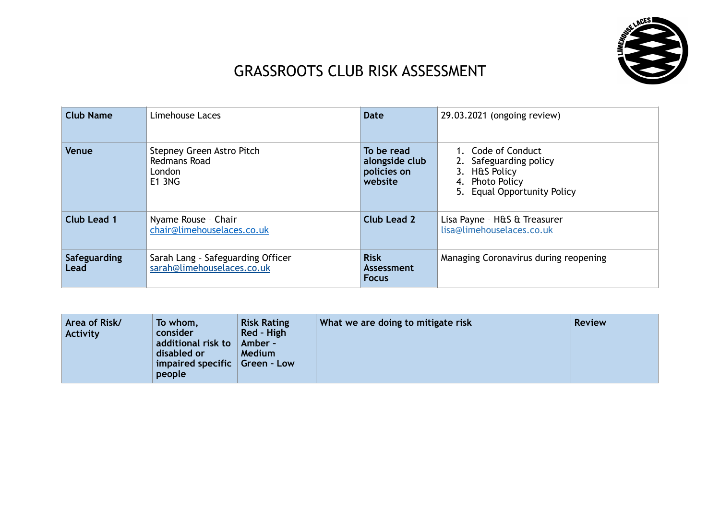

## GRASSROOTS CLUB RISK ASSESSMENT

| <b>Club Name</b>     | Limehouse Laces                                                      | <b>Date</b>                                            | 29.03.2021 (ongoing review)                                                                                     |
|----------------------|----------------------------------------------------------------------|--------------------------------------------------------|-----------------------------------------------------------------------------------------------------------------|
| Venue                | Stepney Green Astro Pitch<br>Redmans Road<br>London<br><b>E1 3NG</b> | To be read<br>alongside club<br>policies on<br>website | 1. Code of Conduct<br>2. Safeguarding policy<br>3. H&S Policy<br>4. Photo Policy<br>5. Equal Opportunity Policy |
| Club Lead 1          | Nyame Rouse - Chair<br>chair@limehouselaces.co.uk                    | Club Lead 2                                            | Lisa Payne - H&S & Treasurer<br>lisa@limehouselaces.co.uk                                                       |
| Safeguarding<br>Lead | Sarah Lang - Safeguarding Officer<br>sarah@limehouselaces.co.uk      | <b>Risk</b><br>Assessment<br><b>Focus</b>              | Managing Coronavirus during reopening                                                                           |

| Area of Risk/<br><b>Activity</b> | <b>Risk Rating</b><br>To whom,<br>Red - High<br>consider<br>additional risk to   Amber -<br>disabled or<br><b>Medium</b><br>impaired specific $ $ Green - Low<br>people | What we are doing to mitigate risk | <b>Review</b> |
|----------------------------------|-------------------------------------------------------------------------------------------------------------------------------------------------------------------------|------------------------------------|---------------|
|----------------------------------|-------------------------------------------------------------------------------------------------------------------------------------------------------------------------|------------------------------------|---------------|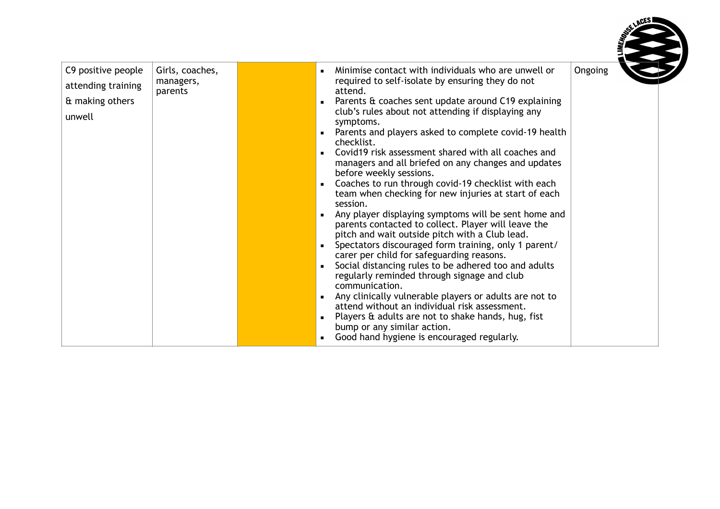| C9 positive people<br>attending training<br>& making others<br>unwell | Girls, coaches,<br>managers,<br>parents | Minimise contact with individuals who are unwell or<br>required to self-isolate by ensuring they do not<br>attend.<br>Parents & coaches sent update around C19 explaining<br>club's rules about not attending if displaying any<br>symptoms.<br>• Parents and players asked to complete covid-19 health<br>checklist.<br>Covid19 risk assessment shared with all coaches and<br>managers and all briefed on any changes and updates<br>before weekly sessions.<br>Coaches to run through covid-19 checklist with each<br>team when checking for new injuries at start of each<br>session.<br>Any player displaying symptoms will be sent home and<br>$\blacksquare$<br>parents contacted to collect. Player will leave the<br>pitch and wait outside pitch with a Club lead.<br>Spectators discouraged form training, only 1 parent/<br>carer per child for safeguarding reasons.<br>Social distancing rules to be adhered too and adults<br>regularly reminded through signage and club<br>communication.<br>Any clinically vulnerable players or adults are not to<br>attend without an individual risk assessment.<br>• Players $\hat{a}$ adults are not to shake hands, hug, fist<br>bump or any similar action.<br>• Good hand hygiene is encouraged regularly. | Ongoing |  |
|-----------------------------------------------------------------------|-----------------------------------------|----------------------------------------------------------------------------------------------------------------------------------------------------------------------------------------------------------------------------------------------------------------------------------------------------------------------------------------------------------------------------------------------------------------------------------------------------------------------------------------------------------------------------------------------------------------------------------------------------------------------------------------------------------------------------------------------------------------------------------------------------------------------------------------------------------------------------------------------------------------------------------------------------------------------------------------------------------------------------------------------------------------------------------------------------------------------------------------------------------------------------------------------------------------------------------------------------------------------------------------------------------------------|---------|--|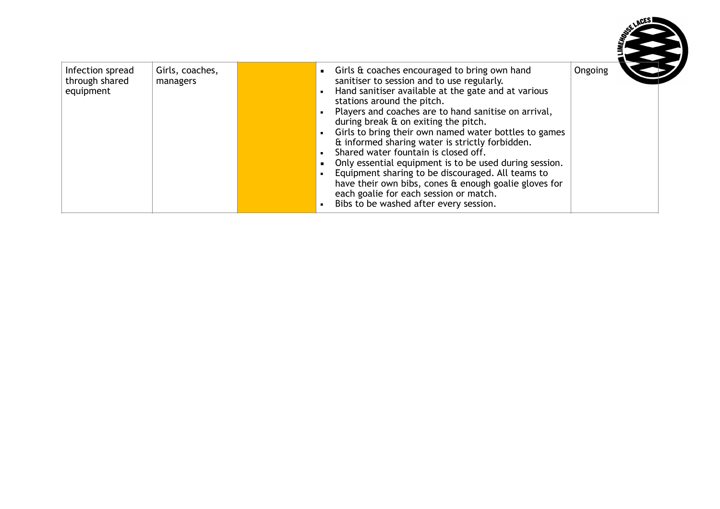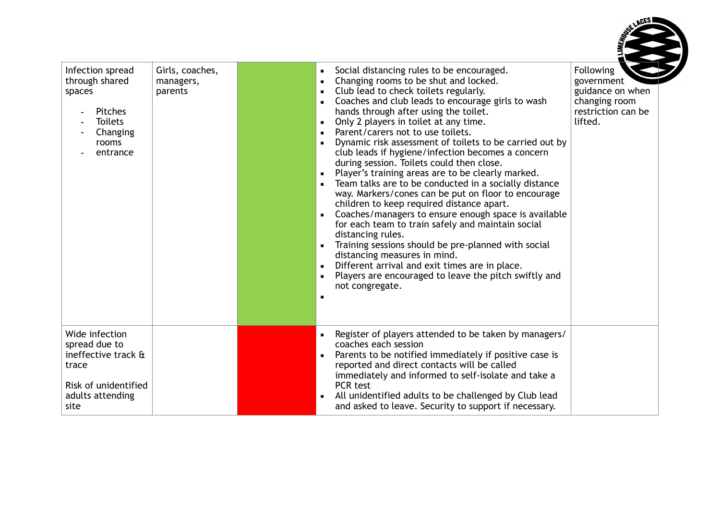

| Infection spread<br>through shared<br>spaces<br>Pitches<br><b>Toilets</b><br>Changing<br>rooms<br>entrance          | Girls, coaches,<br>managers,<br>parents | Social distancing rules to be encouraged.<br>Changing rooms to be shut and locked.<br>Club lead to check toilets regularly.<br>Coaches and club leads to encourage girls to wash<br>hands through after using the toilet.<br>Only 2 players in toilet at any time.<br>Parent/carers not to use toilets.<br>Dynamic risk assessment of toilets to be carried out by<br>club leads if hygiene/infection becomes a concern<br>during session. Toilets could then close.<br>Player's training areas are to be clearly marked.<br>Team talks are to be conducted in a socially distance<br>way. Markers/cones can be put on floor to encourage<br>children to keep required distance apart.<br>Coaches/managers to ensure enough space is available<br>for each team to train safely and maintain social<br>distancing rules.<br>Training sessions should be pre-planned with social<br>distancing measures in mind.<br>Different arrival and exit times are in place.<br>Players are encouraged to leave the pitch swiftly and<br>not congregate. | Following<br>government<br>guidance on when<br>changing room<br>restriction can be<br>lifted. |
|---------------------------------------------------------------------------------------------------------------------|-----------------------------------------|-----------------------------------------------------------------------------------------------------------------------------------------------------------------------------------------------------------------------------------------------------------------------------------------------------------------------------------------------------------------------------------------------------------------------------------------------------------------------------------------------------------------------------------------------------------------------------------------------------------------------------------------------------------------------------------------------------------------------------------------------------------------------------------------------------------------------------------------------------------------------------------------------------------------------------------------------------------------------------------------------------------------------------------------------|-----------------------------------------------------------------------------------------------|
| Wide infection<br>spread due to<br>ineffective track &<br>trace<br>Risk of unidentified<br>adults attending<br>site |                                         | Register of players attended to be taken by managers/<br>coaches each session<br>Parents to be notified immediately if positive case is<br>reported and direct contacts will be called<br>immediately and informed to self-isolate and take a<br>PCR test<br>All unidentified adults to be challenged by Club lead<br>and asked to leave. Security to support if necessary.                                                                                                                                                                                                                                                                                                                                                                                                                                                                                                                                                                                                                                                                   |                                                                                               |